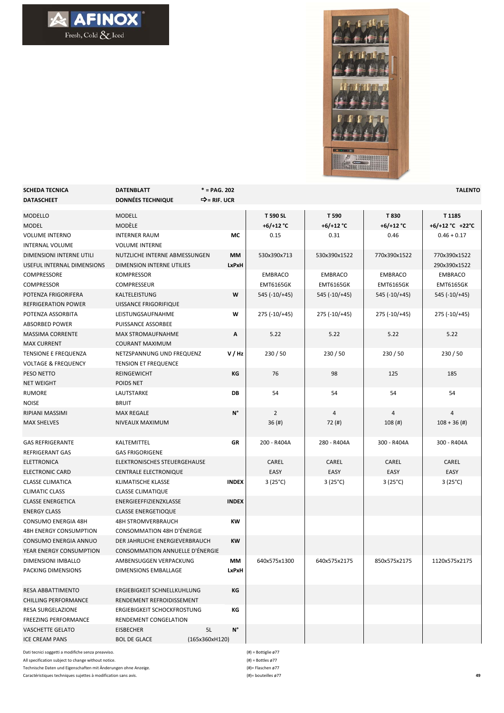

| <b>SCHEDA TECNICA</b>          | DATENBLATT                             | $* = PAG. 202$           |                  |                  |                     | <b>TALENTO</b>   |
|--------------------------------|----------------------------------------|--------------------------|------------------|------------------|---------------------|------------------|
| <b>DATASCHEET</b>              | <b>DONNÉES TECHNIQUE</b>               | $\Rightarrow$ = RIF. UCR |                  |                  |                     |                  |
| MODELLO                        | <b>MODELL</b>                          |                          | <b>T 590 SL</b>  | T 590            | T 830               | T 1185           |
| <b>MODEL</b>                   | MODÈLE                                 |                          | +6/+12 °C        | +6/+12 °C        | +6/+12 $^{\circ}$ C | +6/+12 °C +22 °C |
| <b>VOLUME INTERNO</b>          | <b>INTERNER RAUM</b>                   | МC                       | 0.15             | 0.31             | 0.46                | $0.46 + 0.17$    |
| <b>INTERNAL VOLUME</b>         | <b>VOLUME INTERNE</b>                  |                          |                  |                  |                     |                  |
| DIMENSIONI INTERNE UTILI       | NUTZLICHE INTERNE ABMESSUNGEN          | MМ                       | 530x390x713      | 530x390x1522     | 770x390x1522        | 770x390x1522     |
| USEFUL INTERNAL DIMENSIONS     | DIMENSION INTERNE UTILIES              | LxPxH                    |                  |                  |                     | 290x390x1522     |
| COMPRESSORE                    | <b>KOMPRESSOR</b>                      |                          | <b>EMBRACO</b>   | <b>EMBRACO</b>   | <b>EMBRACO</b>      | EMBRACO          |
| <b>COMPRESSOR</b>              | COMPRESSEUR                            |                          | <b>EMT6165GK</b> | <b>EMT6165GK</b> | <b>EMT6165GK</b>    | <b>EMT6165GK</b> |
| POTENZA FRIGORIFERA            | <b>KALTELEISTUNG</b>                   | W                        | $545$ (-10/+45)  | 545 (-10/+45)    | 545 (-10/+45)       | $545$ (-10/+45)  |
| REFRIGERATION POWER            | UISSANCE FRIGORIFIQUE                  |                          |                  |                  |                     |                  |
| POTENZA ASSORBITA              | LEISTUNGSAUFNAHME                      | w                        | $275$ (-10/+45)  | 275 (-10/+45)    | $275$ (-10/+45)     | $275$ (-10/+45)  |
| <b>ABSORBED POWER</b>          | PUISSANCE ASSORBEE                     |                          |                  |                  |                     |                  |
| <b>MASSIMA CORRENTE</b>        | <b>MAX STROMAUFNAHME</b>               | Α                        | 5.22             | 5.22             | 5.22                | 5.22             |
| <b>MAX CURRENT</b>             | <b>COURANT MAXIMUM</b>                 |                          |                  |                  |                     |                  |
| TENSIONE E FREQUENZA           | NETZSPANNUNG UND FREQUENZ              | V/Hz                     | 230/50           | 230/50           | 230/50              | 230/50           |
| <b>VOLTAGE &amp; FREQUENCY</b> | <b>TENSION ET FREQUENCE</b>            |                          |                  |                  |                     |                  |
| PESO NETTO                     | REINGEWICHT                            | КG                       | 76               | 98               | 125                 | 185              |
| <b>NET WEIGHT</b>              | POIDS NET                              |                          |                  |                  |                     |                  |
| <b>RUMORE</b>                  | LAUTSTARKE                             | DB                       | 54               | 54               | 54                  | 54               |
| <b>NOISE</b>                   | <b>BRUIT</b>                           |                          |                  |                  |                     |                  |
| RIPIANI MASSIMI                | MAX REGALE                             | N°                       | $\overline{2}$   | 4                | 4                   | 4                |
| <b>MAX SHELVES</b>             | NIVEAUX MAXIMUM                        |                          | 36(#)            | 72 (#)           | 108(#)              | $108 + 36$ (#)   |
| <b>GAS REFRIGERANTE</b>        | KALTEMITTEL                            | GR                       | 200 - R404A      | 280 - R404A      | 300 - R404A         | 300 - R404A      |
| REFRIGERANT GAS                | <b>GAS FRIGORIGENE</b>                 |                          |                  |                  |                     |                  |
| <b>ELETTRONICA</b>             | ELEKTRONISCHES STEUERGEHAUSE           |                          | CAREL            | CAREL            | CAREL               | CAREL            |
| <b>ELECTRONIC CARD</b>         | <b>CENTRALE ELECTRONIQUE</b>           |                          | EASY             | EASY             | EASY                | EASY             |
| <b>CLASSE CLIMATICA</b>        | KLIMATISCHE KLASSE                     | <b>INDEX</b>             | $3(25^{\circ}C)$ | $3(25^{\circ}C)$ | $3(25^{\circ}C)$    | $3(25^{\circ}C)$ |
| <b>CLIMATIC CLASS</b>          | <b>CLASSE CLIMATIQUE</b>               |                          |                  |                  |                     |                  |
| <b>CLASSE ENERGETICA</b>       | ENERGIEEFFIZIENZKLASSE                 | <b>INDEX</b>             |                  |                  |                     |                  |
| <b>ENERGY CLASS</b>            | <b>CLASSE ENERGETIOQUE</b>             |                          |                  |                  |                     |                  |
| CONSUMO ENERGIA 48H            | 48H STROMVERBRAUCH                     | КW                       |                  |                  |                     |                  |
| <b>48H ENERGY CONSUMPTION</b>  | CONSOMMATION 48H D'ÉNERGIE             |                          |                  |                  |                     |                  |
| CONSUMO ENERGIA ANNUO          | DER JAHRLICHE ENERGIEVERBRAUCH         | KW                       |                  |                  |                     |                  |
| YEAR ENERGY CONSUMPTION        | <b>CONSOMMATION ANNUELLE D'ÉNERGIE</b> |                          |                  |                  |                     |                  |
| DIMENSIONI IMBALLO             | AMBENSUGGEN VERPACKUNG                 | MМ                       | 640x575x1300     | 640x575x2175     | 850x575x2175        | 1120x575x2175    |
| PACKING DIMENSIONS             | DIMENSIONS EMBALLAGE                   | LxPxH                    |                  |                  |                     |                  |
| RESA ABBATTIMENTO              | ERGIEBIGKEIT SCHNELLKUHLUNG            | КG                       |                  |                  |                     |                  |
| <b>CHILLING PERFORMANCE</b>    | RENDEMENT REFROIDISSEMENT              |                          |                  |                  |                     |                  |
| RESA SURGELAZIONE              | <b>ERGIEBIGKEIT SCHOCKFROSTUNG</b>     | КG                       |                  |                  |                     |                  |
| <b>FREEZING PERFORMANCE</b>    | RENDEMENT CONGELATION                  |                          |                  |                  |                     |                  |
| <b>VASCHETTE GELATO</b>        | <b>EISBECHER</b>                       | N°<br>5L                 |                  |                  |                     |                  |
| <b>ICE CREAM PANS</b>          | <b>BOL DE GLACE</b>                    | (165x360xH120)           |                  |                  |                     |                  |

Dati tecnici soggetti a modifiche senza preavviso. All specification subject to change without notice. Technische Daten und Eigenschaften mit Änderungen ohne Anzeige.

**A AFINOX** Fresh, Cold & Iced

Caractéristiques techniques sujettes à modification sans avis.

(#) = Bottiglie ø77 (#) = Bottles ø77 (#)= Flaschen ø77 (#)= bouteilles ø77 **49**